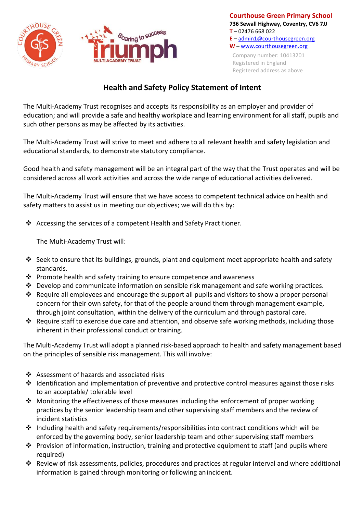



## **Health and Safety Policy Statement of Intent**

The Multi-Academy Trust recognises and accepts its responsibility as an employer and provider of education; and will provide a safe and healthy workplace and learning environment for all staff, pupils and such other persons as may be affected by its activities.

The Multi-Academy Trust will strive to meet and adhere to all relevant health and safety legislation and educational standards, to demonstrate statutory compliance.

Good health and safety management will be an integral part of the way that the Trust operates and will be considered across all work activities and across the wide range of educational activities delivered.

The Multi-Academy Trust will ensure that we have access to competent technical advice on health and safety matters to assist us in meeting our objectives; we will do this by:

❖ Accessing the services of a competent Health and Safety Practitioner.

The Multi-Academy Trust will:

- ❖ Seek to ensure that its buildings, grounds, plant and equipment meet appropriate health and safety standards.
- ❖ Promote health and safety training to ensure competence and awareness
- ❖ Develop and communicate information on sensible risk management and safe working practices.
- $\dots$  Require all employees and encourage the support all pupils and visitors to show a proper personal concern for their own safety, for that of the people around them through management example, through joint consultation, within the delivery of the curriculum and through pastoral care.
- ❖ Require staff to exercise due care and attention, and observe safe working methods, including those inherent in their professional conduct or training.

The Multi-Academy Trust will adopt a planned risk-based approach to health and safety management based on the principles of sensible risk management. This will involve:

- ❖ Assessment of hazards and associated risks
- ❖ Identification and implementation of preventive and protective control measures against those risks to an acceptable/ tolerable level
- ◆ Monitoring the effectiveness of those measures including the enforcement of proper working practices by the senior leadership team and other supervising staff members and the review of incident statistics
- ❖ Including health and safety requirements/responsibilities into contract conditions which will be enforced by the governing body, senior leadership team and other supervising staff members
- ❖ Provision of information, instruction, training and protective equipment to staff (and pupils where required)
- ❖ Review of risk assessments, policies, procedures and practices at regular interval and where additional information is gained through monitoring or following anincident.